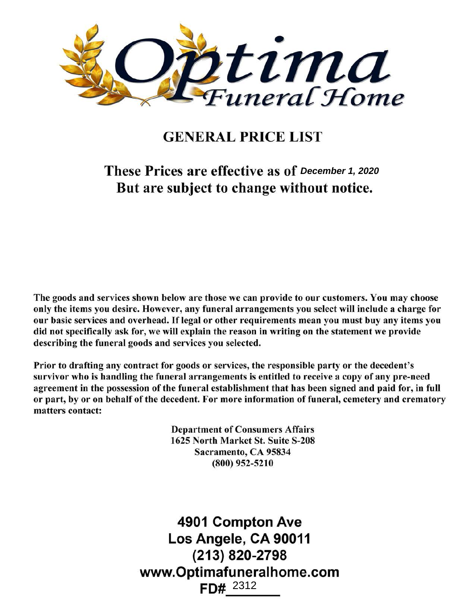

# GENERAL PRICE LIST

These Prices are effective as of December 1, 2020 But are subject to change without notice.

The goods and services shown below are those we can provide to our customers. You may choose only the items you desire. However, any funeral arrangements you select will include a charge for our basic services and overhead. If legal or other requirements mean you must buy any items you did not specifically ask for, we will explain the reason in writing on the statement we provide describing the funeral goods and services you selected.

Prior to drafting any contract for goods or services, the responsible party or the decedent's survivor who is handling the funeral arrangements is entitled to receive a copy of any pre-need agreement in the possession of the funeral establishment that has been signed and paid for, in full or part, by or on behalf of the decedent. For more information of funeral, cemetery and crematory matters contact:

> Department of Consumers Affairs 1625 North Market St. Suite S-208 Sacramento, CA 95834 (800) 952-5210

4901 Compton Ave Los Angele, CA 90011 (213) 820-2798 www.Optimafuneralhome.com imafunerall<br>FD#<u>\_<sup>2312</sup>\_\_</u> 2312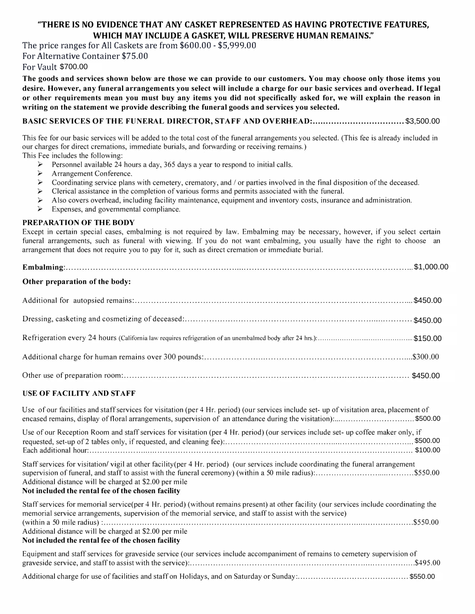## **"THERE IS NO EVIDENCE THAT ANY CASKET REPRESENTED AS HAVING PROTECTIVE FEATURES , WHICH MAY INCLUDE A GASKET, WILL PRESERVE HUMAN REMAINS."**

The price ranges for All Caskets are from \$600.00 - \$5,999.00 For Alternative Container \$75.00

For Vault \$700.00

**The goods and services shown below are those we can provide to our customers. You may choose only those items you desire. However, any funeral arrangements you select will include a charge for our basic services and overhead. If legal or other requirements mean you must buy any items you did not specifically asked for, we will explain the reason in writing on the statement we provide describing the funeral goods and services you selected.** 

## **BASIC SERVICES OF THE FUNERAL DIRECTOR, STAFF AND OVERHEAD: .................................. \$1,895.00**  \$3,500.00

This fee for our basic services will be added to the total cost of the funeral arrangements you selected. (This fee is already included in our charges for direct cremations, immediate burials, and forwarding or receiving remains.) This Fee includes the following:

- ► Personnel available 24 hours a day, 365 days a year to respond to initial calls.
- Arrangement Conference.
- ► Coordinating service plans with cemetery, crematory, and *I* or parties involved in the final disposition of the deceased.
- ► Clerical assistance in the completion of various forms and permits associated with the funeral.
- ► Also covers overhead, including facility maintenance, equipment and inventory costs, insurance and administration.
- ► Expenses, and governmental compliance.

### **PREPARATION OF THE BODY**

Except in certain special cases, embalming is not required by law. Embalming may be necessary, however, if you select certain funeral arrangements, such as funeral with viewing. If you do not want embalming, you usually have the right to choose an arrangement that does not require you to pay for it, such as direct cremation or immediate burial.

| Other preparation of the body: |  |
|--------------------------------|--|
|                                |  |
|                                |  |
|                                |  |
|                                |  |
|                                |  |

## **USE OF FACILITY AND STAFF**

| Use of our facilities and staff services for visitation (per 4 Hr. period) (our services include set-up of visitation area, placement of                                                                                                                                                                                                                              |
|-----------------------------------------------------------------------------------------------------------------------------------------------------------------------------------------------------------------------------------------------------------------------------------------------------------------------------------------------------------------------|
| Use of our Reception Room and staff services for visitation (per 4 Hr. period) (our services include set- up coffee maker only, if                                                                                                                                                                                                                                    |
| Staff services for visitation/vigil at other facility (per 4 Hr. period) (our services include coordinating the funeral arrangement<br>Additional distance will be charged at \$2.00 per mile<br>Not included the rental fee of the chosen facility                                                                                                                   |
| Staff services for memorial service(per 4 Hr. period) (without remains present) at other facility (our services include coordinating the<br>memorial service arrangements, supervision of the memorial service, and staff to assist with the service)<br>Additional distance will be charged at \$2.00 per mile<br>Not included the rental fee of the chosen facility |
| Equipment and staff services for graveside service (our services include accompaniment of remains to cemetery supervision of                                                                                                                                                                                                                                          |

Additional charge for use of facilities and staff on Holidays, and on Saturday or Sunday: ............................................. \$400.00 \$550.00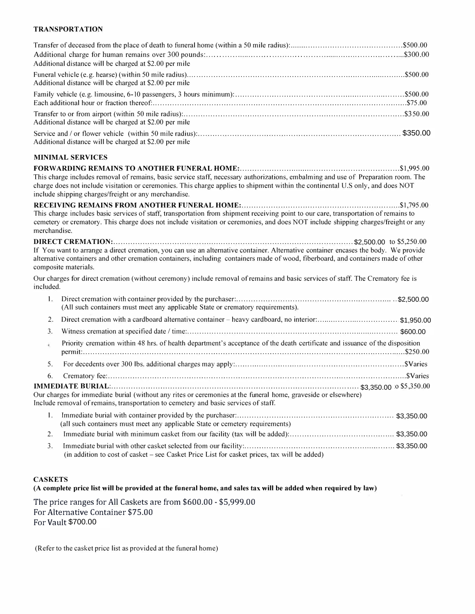#### **TRANSPORTATION**

|              | Additional distance will be charged at \$2.00 per mile                                                                                                                                                                                                                                                                        |
|--------------|-------------------------------------------------------------------------------------------------------------------------------------------------------------------------------------------------------------------------------------------------------------------------------------------------------------------------------|
|              | Additional distance will be charged at \$2.00 per mile                                                                                                                                                                                                                                                                        |
|              |                                                                                                                                                                                                                                                                                                                               |
|              | Additional distance will be charged at \$2.00 per mile                                                                                                                                                                                                                                                                        |
|              | Additional distance will be charged at \$2.00 per mile                                                                                                                                                                                                                                                                        |
|              | <b>MINIMAL SERVICES</b>                                                                                                                                                                                                                                                                                                       |
|              | This charge includes removal of remains, basic service staff, necessary authorizations, embalming and use of Preparation room. The<br>charge does not include visitation or ceremonies. This charge applies to shipment within the continental U.S only, and does NOT<br>include shipping charges/freight or any merchandise. |
|              |                                                                                                                                                                                                                                                                                                                               |
| merchandise. | This charge includes basic services of staff, transportation from shipment receiving point to our care, transportation of remains to<br>cemetery or crematory. This charge does not include visitation or ceremonies, and does NOT include shipping charges/freight or any                                                    |
|              | If You want to arrange a direct cremation, you can use an alternative container. Alternative container encases the body. We provide<br>alternative containers and other cremation containers, including containers made of wood, fiberboard, and containers made of other<br>composite materials.                             |
| included.    | Our charges for direct cremation (without ceremony) include removal of remains and basic services of staff. The Crematory fee is                                                                                                                                                                                              |
| 1.           | (All such containers must meet any applicable State or crematory requirements).                                                                                                                                                                                                                                               |
| 2.           | Direct cremation with a cardboard alternative container - heavy cardboard, no interior:\$1,950.00                                                                                                                                                                                                                             |
| 3.           |                                                                                                                                                                                                                                                                                                                               |
| 4.           | Priority cremation within 48 hrs. of health department's acceptance of the death certificate and issuance of the disposition                                                                                                                                                                                                  |
| 5.           |                                                                                                                                                                                                                                                                                                                               |
| 6.           |                                                                                                                                                                                                                                                                                                                               |
|              |                                                                                                                                                                                                                                                                                                                               |
|              | Our charges for immediate burial (without any rites or ceremonies at the funeral home, graveside or elsewhere)<br>Include removal of remains, transportation to cemetery and basic services of staff.                                                                                                                         |
| 1.           | (all such containers must meet any applicable State or cemetery requirements)                                                                                                                                                                                                                                                 |
| 2.           |                                                                                                                                                                                                                                                                                                                               |
| 3.           | (in addition to cost of casket - see Casket Price List for casket prices, tax will be added)                                                                                                                                                                                                                                  |

## **CASKETS**

**(A complete price list will be provided at the funeral home, and sales tax will be added when required by law)** 

The price ranges for All Caskets are from \$600.00 - \$5,999.00 For Alternative Container \$75.00 For Vault \$425.00 \$700.00

(Refer to the casket price list as provided at the funeral home)